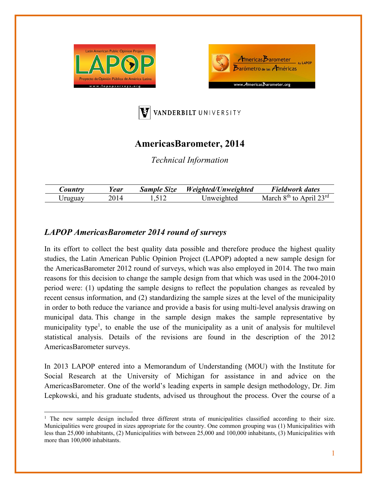





## **AmericasBarometer, 2014**

*Technical Information* 

| $\mathcal{L}$ ountr $\mathbf{r}$ | ear/ | <b>Sample Size</b> | Weighted/Unweighted | Fieldwork dates                             |
|----------------------------------|------|--------------------|---------------------|---------------------------------------------|
| , Iruguay                        |      |                    | Jnweighted          | April $23^{\text{rd}}$<br>$8th$ to<br>March |

## *LAPOP AmericasBarometer 2014 round of surveys*

In its effort to collect the best quality data possible and therefore produce the highest quality studies, the Latin American Public Opinion Project (LAPOP) adopted a new sample design for the AmericasBarometer 2012 round of surveys, which was also employed in 2014. The two main reasons for this decision to change the sample design from that which was used in the 2004-2010 period were: (1) updating the sample designs to reflect the population changes as revealed by recent census information, and (2) standardizing the sample sizes at the level of the municipality in order to both reduce the variance and provide a basis for using multi-level analysis drawing on municipal data. This change in the sample design makes the sample representative by municipality type<sup>1</sup>, to enable the use of the municipality as a unit of analysis for multilevel statistical analysis. Details of the revisions are found in the description of the 2012 AmericasBarometer surveys.

In 2013 LAPOP entered into a Memorandum of Understanding (MOU) with the Institute for Social Research at the University of Michigan for assistance in and advice on the AmericasBarometer. One of the world's leading experts in sample design methodology, Dr. Jim Lepkowski, and his graduate students, advised us throughout the process. Over the course of a

<sup>&</sup>lt;sup>1</sup> The new sample design included three different strata of municipalities classified according to their size. Municipalities were grouped in sizes appropriate for the country. One common grouping was (1) Municipalities with less than 25,000 inhabitants, (2) Municipalities with between 25,000 and 100,000 inhabitants, (3) Municipalities with more than 100,000 inhabitants.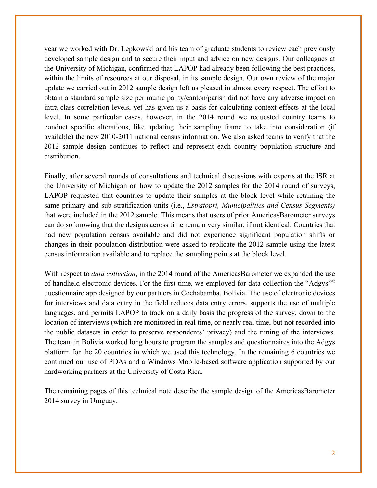year we worked with Dr. Lepkowski and his team of graduate students to review each previously developed sample design and to secure their input and advice on new designs. Our colleagues at the University of Michigan, confirmed that LAPOP had already been following the best practices, within the limits of resources at our disposal, in its sample design. Our own review of the major update we carried out in 2012 sample design left us pleased in almost every respect. The effort to obtain a standard sample size per municipality/canton/parish did not have any adverse impact on intra-class correlation levels, yet has given us a basis for calculating context effects at the local level. In some particular cases, however, in the 2014 round we requested country teams to conduct specific alterations, like updating their sampling frame to take into consideration (if available) the new 2010-2011 national census information. We also asked teams to verify that the 2012 sample design continues to reflect and represent each country population structure and distribution.

Finally, after several rounds of consultations and technical discussions with experts at the ISR at the University of Michigan on how to update the 2012 samples for the 2014 round of surveys, LAPOP requested that countries to update their samples at the block level while retaining the same primary and sub-stratification units (i.e., *Estratopri, Municipalities and Census Segments)*  that were included in the 2012 sample. This means that users of prior AmericasBarometer surveys can do so knowing that the designs across time remain very similar, if not identical. Countries that had new population census available and did not experience significant population shifts or changes in their population distribution were asked to replicate the 2012 sample using the latest census information available and to replace the sampling points at the block level.

With respect to *data collection*, in the 2014 round of the AmericasBarometer we expanded the use of handheld electronic devices. For the first time, we employed for data collection the "Adgys"© questionnaire app designed by our partners in Cochabamba, Bolivia. The use of electronic devices for interviews and data entry in the field reduces data entry errors, supports the use of multiple languages, and permits LAPOP to track on a daily basis the progress of the survey, down to the location of interviews (which are monitored in real time, or nearly real time, but not recorded into the public datasets in order to preserve respondents' privacy) and the timing of the interviews. The team in Bolivia worked long hours to program the samples and questionnaires into the Adgys platform for the 20 countries in which we used this technology. In the remaining 6 countries we continued our use of PDAs and a Windows Mobile-based software application supported by our hardworking partners at the University of Costa Rica.

The remaining pages of this technical note describe the sample design of the AmericasBarometer 2014 survey in Uruguay.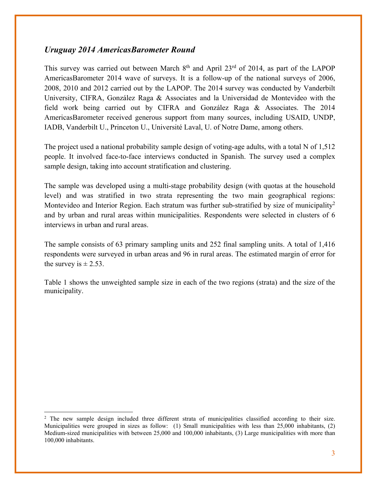## *Uruguay 2014 AmericasBarometer Round*

This survey was carried out between March  $8<sup>th</sup>$  and April 23<sup>rd</sup> of 2014, as part of the LAPOP AmericasBarometer 2014 wave of surveys. It is a follow-up of the national surveys of 2006, 2008, 2010 and 2012 carried out by the LAPOP. The 2014 survey was conducted by Vanderbilt University, CIFRA, González Raga & Associates and la Universidad de Montevideo with the field work being carried out by CIFRA and González Raga & Associates. The 2014 AmericasBarometer received generous support from many sources, including USAID, UNDP, IADB, Vanderbilt U., Princeton U., Université Laval, U. of Notre Dame, among others.

The project used a national probability sample design of voting-age adults, with a total N of 1,512 people. It involved face-to-face interviews conducted in Spanish. The survey used a complex sample design, taking into account stratification and clustering.

The sample was developed using a multi-stage probability design (with quotas at the household level) and was stratified in two strata representing the two main geographical regions: Montevideo and Interior Region. Each stratum was further sub-stratified by size of municipality<sup>2</sup> and by urban and rural areas within municipalities. Respondents were selected in clusters of 6 interviews in urban and rural areas.

The sample consists of 63 primary sampling units and 252 final sampling units. A total of 1,416 respondents were surveyed in urban areas and 96 in rural areas. The estimated margin of error for the survey is  $\pm 2.53$ .

Table 1 shows the unweighted sample size in each of the two regions (strata) and the size of the municipality.

<sup>&</sup>lt;sup>2</sup> The new sample design included three different strata of municipalities classified according to their size. Municipalities were grouped in sizes as follow: (1) Small municipalities with less than 25,000 inhabitants, (2) Medium-sized municipalities with between 25,000 and 100,000 inhabitants, (3) Large municipalities with more than 100,000 inhabitants.